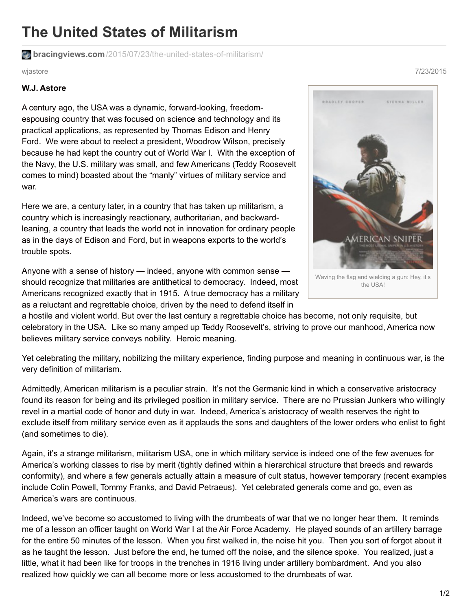## **The United States of Militarism**

**bracingviews.com**[/2015/07/23/the-united-states-of-militarism/](https://bracingviews.com/2015/07/23/the-united-states-of-militarism/)

## **W.J. Astore**

A century ago, the USA was a dynamic, forward-looking, freedomespousing country that was focused on science and technology and its practical applications, as represented by Thomas Edison and Henry Ford. We were about to reelect a president, Woodrow Wilson, precisely because he had kept the country out of World War I. With the exception of the Navy, the U.S. military was small, and few Americans (Teddy Roosevelt comes to mind) boasted about the "manly" virtues of military service and war.

Here we are, a century later, in a country that has taken up militarism, a country which is increasingly reactionary, authoritarian, and backwardleaning, a country that leads the world not in innovation for ordinary people as in the days of Edison and Ford, but in weapons exports to the world's trouble spots.

Anyone with a sense of history — indeed, anyone with common sense should recognize that militaries are antithetical to democracy. Indeed, most Americans recognized exactly that in 1915. A true democracy has a military as a reluctant and regrettable choice, driven by the need to defend itself in

a hostile and violent world. But over the last century a regrettable choice has become, not only requisite, but celebratory in the USA. Like so many amped up Teddy Roosevelt's, striving to prove our manhood, America now believes military service conveys nobility. Heroic meaning.

Yet celebrating the military, nobilizing the military experience, finding purpose and meaning in continuous war, is the very definition of militarism.

Admittedly, American militarism is a peculiar strain. It's not the Germanic kind in which a conservative aristocracy found its reason for being and its privileged position in military service. There are no Prussian Junkers who willingly revel in a martial code of honor and duty in war. Indeed, America's aristocracy of wealth reserves the right to exclude itself from military service even as it applauds the sons and daughters of the lower orders who enlist to fight (and sometimes to die).

Again, it's a strange militarism, militarism USA, one in which military service is indeed one of the few avenues for America's working classes to rise by merit (tightly defined within a hierarchical structure that breeds and rewards conformity), and where a few generals actually attain a measure of cult status, however temporary (recent examples include Colin Powell, Tommy Franks, and David Petraeus). Yet celebrated generals come and go, even as America's wars are continuous.

Indeed, we've become so accustomed to living with the drumbeats of war that we no longer hear them. It reminds me of a lesson an officer taught on World War I at the Air Force Academy. He played sounds of an artillery barrage for the entire 50 minutes of the lesson. When you first walked in, the noise hit you. Then you sort of forgot about it as he taught the lesson. Just before the end, he turned off the noise, and the silence spoke. You realized, just a little, what it had been like for troops in the trenches in 1916 living under artillery bombardment. And you also realized how quickly we can all become more or less accustomed to the drumbeats of war.



wjastore 7/23/2015